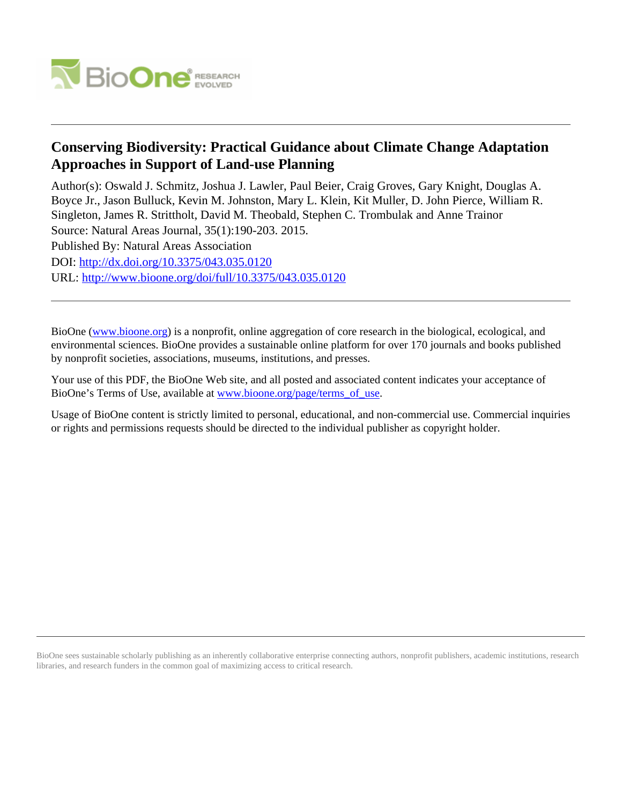

# **Conserving Biodiversity: Practical Guidance about Climate Change Adaptation Approaches in Support of Land-use Planning**

Author(s): Oswald J. Schmitz, Joshua J. Lawler, Paul Beier, Craig Groves, Gary Knight, Douglas A. Boyce Jr., Jason Bulluck, Kevin M. Johnston, Mary L. Klein, Kit Muller, D. John Pierce, William R. Singleton, James R. Strittholt, David M. Theobald, Stephen C. Trombulak and Anne Trainor Source: Natural Areas Journal, 35(1):190-203. 2015. Published By: Natural Areas Association

DOI:<http://dx.doi.org/10.3375/043.035.0120> URL: <http://www.bioone.org/doi/full/10.3375/043.035.0120>

BioOne [\(www.bioone.org\)](http://www.bioone.org) is a nonprofit, online aggregation of core research in the biological, ecological, and environmental sciences. BioOne provides a sustainable online platform for over 170 journals and books published by nonprofit societies, associations, museums, institutions, and presses.

Your use of this PDF, the BioOne Web site, and all posted and associated content indicates your acceptance of BioOne's Terms of Use, available at [www.bioone.org/page/terms\\_of\\_use.](http://www.bioone.org/page/terms_of_use)

Usage of BioOne content is strictly limited to personal, educational, and non-commercial use. Commercial inquiries or rights and permissions requests should be directed to the individual publisher as copyright holder.

BioOne sees sustainable scholarly publishing as an inherently collaborative enterprise connecting authors, nonprofit publishers, academic institutions, research libraries, and research funders in the common goal of maximizing access to critical research.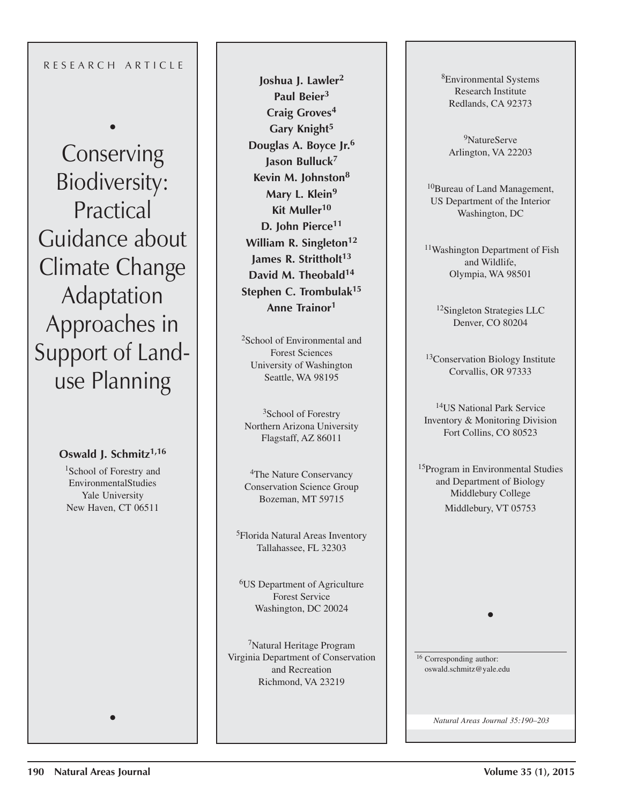## R E S E A R C H A R T I C L E

•

**Conserving** Biodiversity: Practical Guidance about Climate Change Adaptation Approaches in Support of Landuse Planning

## **Oswald J. Schmitz1,16**

<sup>1</sup>School of Forestry and EnvironmentalStudies Yale University New Haven, CT 06511

**Joshua J. Lawler2 Paul Beier<sup>3</sup> Craig Groves<sup>4</sup> Gary Knight<sup>5</sup> Douglas A. Boyce Jr.<sup>6</sup> Jason Bulluck<sup>7</sup> Kevin M. Johnston<sup>8</sup> Mary L. Klein<sup>9</sup> Kit Muller<sup>10</sup> D. John Pierce<sup>11</sup> William R. Singleton<sup>12</sup>** James R. Strittholt<sup>13</sup> **David M. Theobald14 Stephen C. Trombulak15 Anne Trainor<sup>1</sup>**

2School of Environmental and Forest Sciences University of Washington Seattle, WA 98195

<sup>3</sup>School of Forestry Northern Arizona University Flagstaff, AZ 86011

4The Nature Conservancy Conservation Science Group Bozeman, MT 59715

5Florida Natural Areas Inventory Tallahassee, FL 32303

6US Department of Agriculture Forest Service Washington, DC 20024

7Natural Heritage Program Virginia Department of Conservation and Recreation Richmond, VA 23219

8Environmental Systems Research Institute Redlands, CA 92373

9NatureServe Arlington, VA 22203

<sup>10</sup>Bureau of Land Management, US Department of the Interior Washington, DC

11Washington Department of Fish and Wildlife, Olympia, WA 98501

12Singleton Strategies LLC Denver, CO 80204

13Conservation Biology Institute Corvallis, OR 97333

14US National Park Service Inventory & Monitoring Division Fort Collins, CO 80523

15Program in Environmental Studies and Department of Biology Middlebury College Middlebury, VT 05753

<sup>16</sup> Corresponding author: oswald.schmitz@yale.edu

*Natural Areas Journal 35:190–203*

•

•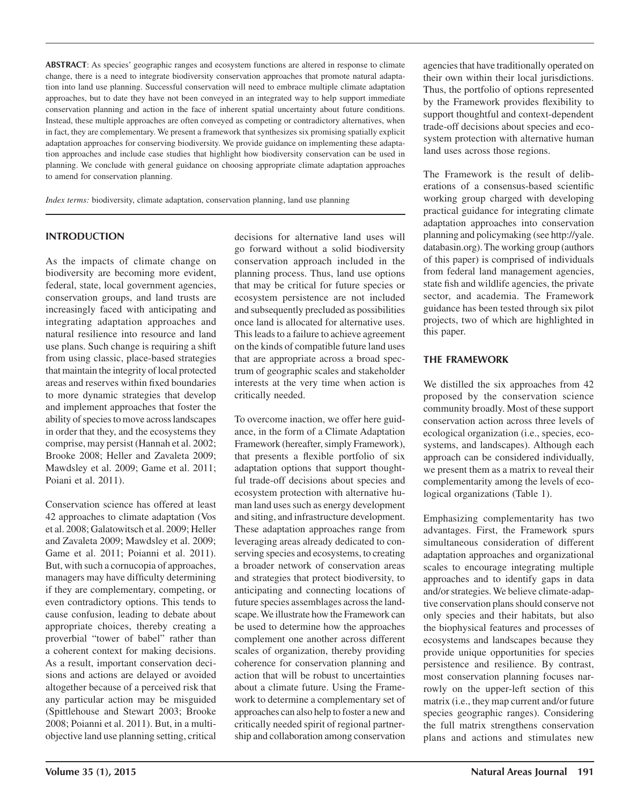**ABSTRACT**: As species' geographic ranges and ecosystem functions are altered in response to climate change, there is a need to integrate biodiversity conservation approaches that promote natural adaptation into land use planning. Successful conservation will need to embrace multiple climate adaptation approaches, but to date they have not been conveyed in an integrated way to help support immediate conservation planning and action in the face of inherent spatial uncertainty about future conditions. Instead, these multiple approaches are often conveyed as competing or contradictory alternatives, when in fact, they are complementary. We present a framework that synthesizes six promising spatially explicit adaptation approaches for conserving biodiversity. We provide guidance on implementing these adaptation approaches and include case studies that highlight how biodiversity conservation can be used in planning. We conclude with general guidance on choosing appropriate climate adaptation approaches to amend for conservation planning.

*Index terms:* biodiversity, climate adaptation, conservation planning, land use planning

#### **INTRODUCTION**

As the impacts of climate change on biodiversity are becoming more evident, federal, state, local government agencies, conservation groups, and land trusts are increasingly faced with anticipating and integrating adaptation approaches and natural resilience into resource and land use plans. Such change is requiring a shift from using classic, place-based strategies that maintain the integrity of local protected areas and reserves within fixed boundaries to more dynamic strategies that develop and implement approaches that foster the ability of species to move across landscapes in order that they, and the ecosystems they comprise, may persist (Hannah et al. 2002; Brooke 2008; Heller and Zavaleta 2009; Mawdsley et al. 2009; Game et al. 2011; Poiani et al. 2011).

Conservation science has offered at least 42 approaches to climate adaptation (Vos et al. 2008; Galatowitsch et al. 2009; Heller and Zavaleta 2009; Mawdsley et al. 2009; Game et al. 2011; Poianni et al. 2011). But, with such a cornucopia of approaches, managers may have difficulty determining if they are complementary, competing, or even contradictory options. This tends to cause confusion, leading to debate about appropriate choices, thereby creating a proverbial "tower of babel" rather than a coherent context for making decisions. As a result, important conservation decisions and actions are delayed or avoided altogether because of a perceived risk that any particular action may be misguided (Spittlehouse and Stewart 2003; Brooke 2008; Poianni et al. 2011). But, in a multiobjective land use planning setting, critical decisions for alternative land uses will go forward without a solid biodiversity conservation approach included in the planning process. Thus, land use options that may be critical for future species or ecosystem persistence are not included and subsequently precluded as possibilities once land is allocated for alternative uses. This leads to a failure to achieve agreement on the kinds of compatible future land uses that are appropriate across a broad spectrum of geographic scales and stakeholder interests at the very time when action is critically needed.

To overcome inaction, we offer here guidance, in the form of a Climate Adaptation Framework (hereafter, simply Framework), that presents a flexible portfolio of six adaptation options that support thoughtful trade-off decisions about species and ecosystem protection with alternative human land uses such as energy development and siting, and infrastructure development. These adaptation approaches range from leveraging areas already dedicated to conserving species and ecosystems, to creating a broader network of conservation areas and strategies that protect biodiversity, to anticipating and connecting locations of future species assemblages across the landscape. We illustrate how the Framework can be used to determine how the approaches complement one another across different scales of organization, thereby providing coherence for conservation planning and action that will be robust to uncertainties about a climate future. Using the Framework to determine a complementary set of approaches can also help to foster a new and critically needed spirit of regional partnership and collaboration among conservation

agencies that have traditionally operated on their own within their local jurisdictions. Thus, the portfolio of options represented by the Framework provides flexibility to support thoughtful and context-dependent trade-off decisions about species and ecosystem protection with alternative human land uses across those regions.

The Framework is the result of deliberations of a consensus-based scientific working group charged with developing practical guidance for integrating climate adaptation approaches into conservation planning and policymaking (see http://yale. databasin.org). The working group (authors of this paper) is comprised of individuals from federal land management agencies, state fish and wildlife agencies, the private sector, and academia. The Framework guidance has been tested through six pilot projects, two of which are highlighted in this paper.

### **THE FRAMEWORK**

We distilled the six approaches from 42 proposed by the conservation science community broadly. Most of these support conservation action across three levels of ecological organization (i.e., species, ecosystems, and landscapes). Although each approach can be considered individually, we present them as a matrix to reveal their complementarity among the levels of ecological organizations (Table 1).

Emphasizing complementarity has two advantages. First, the Framework spurs simultaneous consideration of different adaptation approaches and organizational scales to encourage integrating multiple approaches and to identify gaps in data and/or strategies. We believe climate-adaptive conservation plans should conserve not only species and their habitats, but also the biophysical features and processes of ecosystems and landscapes because they provide unique opportunities for species persistence and resilience. By contrast, most conservation planning focuses narrowly on the upper-left section of this matrix (i.e., they map current and/or future species geographic ranges). Considering the full matrix strengthens conservation plans and actions and stimulates new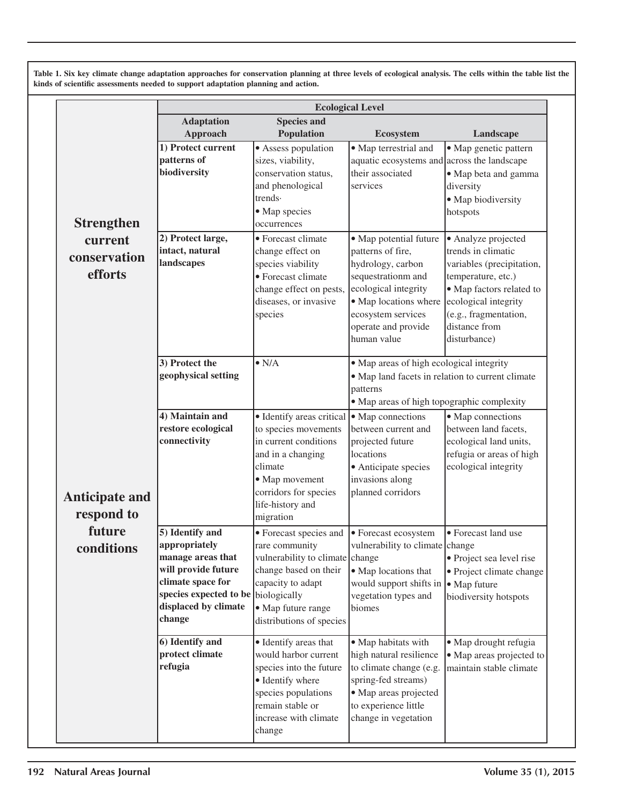**Table 1. Six key climate change adaptation approaches for conservation planning at three levels of ecological analysis. The cells within the table list the kinds of scientific assessments needed to support adaptation planning and action.**

|                                     | <b>Ecological Level</b>                                                                                                                                                    |                                                                                                                                                                                        |                                                                                                                                                                                                     |                                                                                                                                                                                                            |
|-------------------------------------|----------------------------------------------------------------------------------------------------------------------------------------------------------------------------|----------------------------------------------------------------------------------------------------------------------------------------------------------------------------------------|-----------------------------------------------------------------------------------------------------------------------------------------------------------------------------------------------------|------------------------------------------------------------------------------------------------------------------------------------------------------------------------------------------------------------|
|                                     | <b>Adaptation</b><br>Approach                                                                                                                                              | <b>Species and</b><br><b>Population</b>                                                                                                                                                | <b>Ecosystem</b>                                                                                                                                                                                    | Landscape                                                                                                                                                                                                  |
| <b>Strengthen</b>                   | 1) Protect current<br>patterns of<br>biodiversity                                                                                                                          | • Assess population<br>sizes, viability,<br>conservation status,<br>and phenological<br>trends·<br>• Map species<br>occurrences                                                        | · Map terrestrial and<br>aquatic ecosystems and across the landscape<br>their associated<br>services                                                                                                | · Map genetic pattern<br>• Map beta and gamma<br>diversity<br>· Map biodiversity<br>hotspots                                                                                                               |
| current<br>conservation<br>efforts  | 2) Protect large,<br>intact, natural<br>landscapes                                                                                                                         | • Forecast climate<br>change effect on<br>species viability<br>· Forecast climate<br>change effect on pests,<br>diseases, or invasive<br>species                                       | • Map potential future<br>patterns of fire,<br>hydrology, carbon<br>sequestrationm and<br>ecological integrity<br>· Map locations where<br>ecosystem services<br>operate and provide<br>human value | • Analyze projected<br>trends in climatic<br>variables (precipitation,<br>temperature, etc.)<br>· Map factors related to<br>ecological integrity<br>(e.g., fragmentation,<br>distance from<br>disturbance) |
|                                     | 3) Protect the<br>geophysical setting                                                                                                                                      | $\bullet$ N/A                                                                                                                                                                          | • Map areas of high ecological integrity<br>• Map land facets in relation to current climate<br>patterns<br>• Map areas of high topographic complexity                                              |                                                                                                                                                                                                            |
| <b>Anticipate and</b><br>respond to | 4) Maintain and<br>restore ecological<br>connectivity                                                                                                                      | · Identify areas critical<br>to species movements<br>in current conditions<br>and in a changing<br>climate<br>• Map movement<br>corridors for species<br>life-history and<br>migration | • Map connections<br>between current and<br>projected future<br>locations<br>• Anticipate species<br>invasions along<br>planned corridors                                                           | • Map connections<br>between land facets,<br>ecological land units,<br>refugia or areas of high<br>ecological integrity                                                                                    |
| future<br>conditions                | 5) Identify and<br>appropriately<br>manage areas that<br>will provide future<br>climate space for<br>species expected to be biologically<br>displaced by climate<br>change | • Forecast species and<br>rare community<br>vulnerability to climate change<br>change based on their<br>capacity to adapt<br>• Map future range<br>distributions of species            | • Forecast ecosystem<br>vulnerability to climate change<br>· Map locations that<br>would support shifts in<br>vegetation types and<br>biomes                                                        | • Forecast land use<br>• Project sea level rise<br>• Project climate change<br>• Map future<br>biodiversity hotspots                                                                                       |
|                                     | 6) Identify and<br>protect climate<br>refugia                                                                                                                              | • Identify areas that<br>would harbor current<br>species into the future<br>· Identify where<br>species populations<br>remain stable or<br>increase with climate<br>change             | · Map habitats with<br>high natural resilience<br>to climate change (e.g.<br>spring-fed streams)<br>· Map areas projected<br>to experience little<br>change in vegetation                           | • Map drought refugia<br>• Map areas projected to<br>maintain stable climate                                                                                                                               |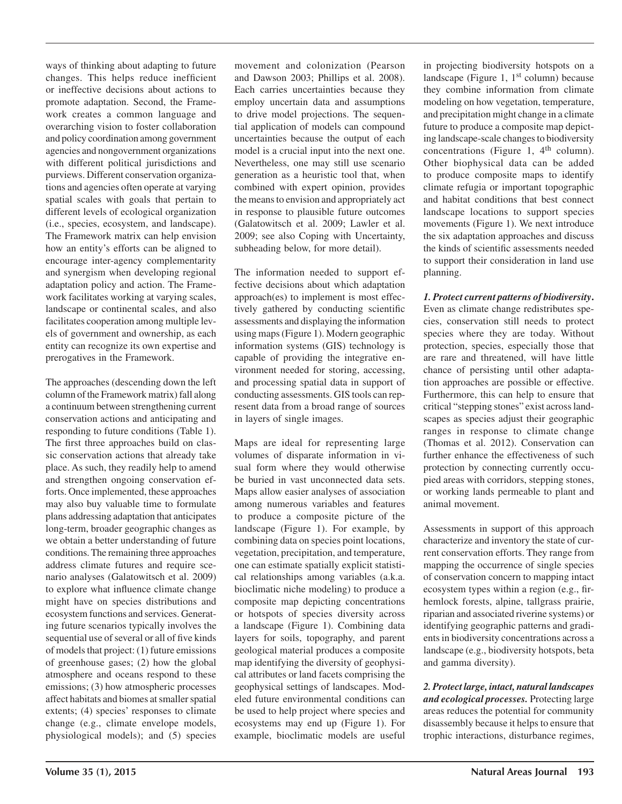ways of thinking about adapting to future changes. This helps reduce inefficient or ineffective decisions about actions to promote adaptation. Second, the Framework creates a common language and overarching vision to foster collaboration and policy coordination among government agencies and nongovernment organizations with different political jurisdictions and purviews. Different conservation organizations and agencies often operate at varying spatial scales with goals that pertain to different levels of ecological organization (i.e., species, ecosystem, and landscape). The Framework matrix can help envision how an entity's efforts can be aligned to encourage inter-agency complementarity and synergism when developing regional adaptation policy and action. The Framework facilitates working at varying scales, landscape or continental scales, and also facilitates cooperation among multiple levels of government and ownership, as each entity can recognize its own expertise and prerogatives in the Framework.

The approaches (descending down the left column of the Framework matrix) fall along a continuum between strengthening current conservation actions and anticipating and responding to future conditions (Table 1). The first three approaches build on classic conservation actions that already take place. As such, they readily help to amend and strengthen ongoing conservation efforts. Once implemented, these approaches may also buy valuable time to formulate plans addressing adaptation that anticipates long-term, broader geographic changes as we obtain a better understanding of future conditions. The remaining three approaches address climate futures and require scenario analyses (Galatowitsch et al. 2009) to explore what influence climate change might have on species distributions and ecosystem functions and services. Generating future scenarios typically involves the sequential use of several or all of five kinds of models that project: (1) future emissions of greenhouse gases; (2) how the global atmosphere and oceans respond to these emissions; (3) how atmospheric processes affect habitats and biomes at smaller spatial extents; (4) species' responses to climate change (e.g., climate envelope models, physiological models); and (5) species movement and colonization (Pearson and Dawson 2003; Phillips et al. 2008). Each carries uncertainties because they employ uncertain data and assumptions to drive model projections. The sequential application of models can compound uncertainties because the output of each model is a crucial input into the next one. Nevertheless, one may still use scenario generation as a heuristic tool that, when combined with expert opinion, provides the means to envision and appropriately act in response to plausible future outcomes (Galatowitsch et al. 2009; Lawler et al. 2009; see also Coping with Uncertainty, subheading below, for more detail).

The information needed to support effective decisions about which adaptation approach(es) to implement is most effectively gathered by conducting scientific assessments and displaying the information using maps (Figure 1). Modern geographic information systems (GIS) technology is capable of providing the integrative environment needed for storing, accessing, and processing spatial data in support of conducting assessments. GIS tools can represent data from a broad range of sources in layers of single images.

Maps are ideal for representing large volumes of disparate information in visual form where they would otherwise be buried in vast unconnected data sets. Maps allow easier analyses of association among numerous variables and features to produce a composite picture of the landscape (Figure 1). For example, by combining data on species point locations, vegetation, precipitation, and temperature, one can estimate spatially explicit statistical relationships among variables (a.k.a. bioclimatic niche modeling) to produce a composite map depicting concentrations or hotspots of species diversity across a landscape (Figure 1). Combining data layers for soils, topography, and parent geological material produces a composite map identifying the diversity of geophysical attributes or land facets comprising the geophysical settings of landscapes. Modeled future environmental conditions can be used to help project where species and ecosystems may end up (Figure 1). For example, bioclimatic models are useful in projecting biodiversity hotspots on a landscape (Figure 1,  $1<sup>st</sup>$  column) because they combine information from climate modeling on how vegetation, temperature, and precipitation might change in a climate future to produce a composite map depicting landscape-scale changes to biodiversity concentrations (Figure 1,  $4<sup>th</sup>$  column). Other biophysical data can be added to produce composite maps to identify climate refugia or important topographic and habitat conditions that best connect landscape locations to support species movements (Figure 1). We next introduce the six adaptation approaches and discuss the kinds of scientific assessments needed to support their consideration in land use planning.

*1. Protect current patterns of biodiversity***.** Even as climate change redistributes species, conservation still needs to protect species where they are today. Without protection, species, especially those that are rare and threatened, will have little chance of persisting until other adaptation approaches are possible or effective. Furthermore, this can help to ensure that critical "stepping stones" exist across landscapes as species adjust their geographic ranges in response to climate change (Thomas et al. 2012). Conservation can further enhance the effectiveness of such protection by connecting currently occupied areas with corridors, stepping stones, or working lands permeable to plant and animal movement.

Assessments in support of this approach characterize and inventory the state of current conservation efforts. They range from mapping the occurrence of single species of conservation concern to mapping intact ecosystem types within a region (e.g., firhemlock forests, alpine, tallgrass prairie, riparian and associated riverine systems) or identifying geographic patterns and gradients in biodiversity concentrations across a landscape (e.g., biodiversity hotspots, beta and gamma diversity).

*2. Protect large, intact, natural landscapes and ecological processes.* Protecting large areas reduces the potential for community disassembly because it helps to ensure that trophic interactions, disturbance regimes,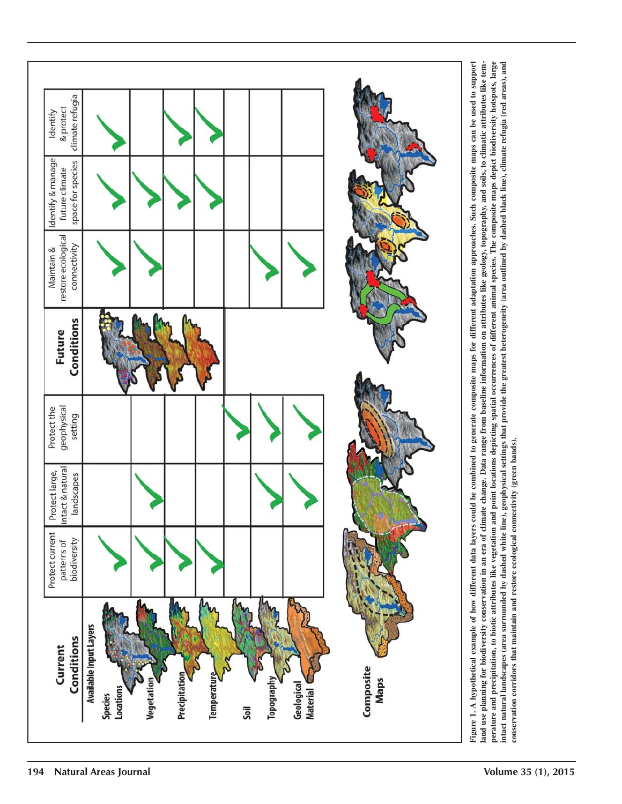

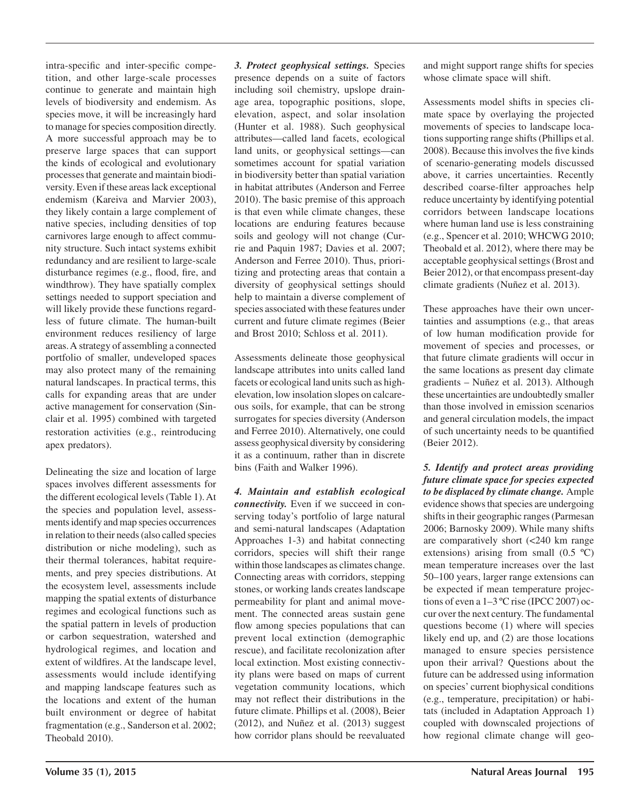intra-specific and inter-specific competition, and other large-scale processes continue to generate and maintain high levels of biodiversity and endemism. As species move, it will be increasingly hard to manage for species composition directly. A more successful approach may be to preserve large spaces that can support the kinds of ecological and evolutionary processes that generate and maintain biodiversity. Even if these areas lack exceptional endemism (Kareiva and Marvier 2003), they likely contain a large complement of native species, including densities of top carnivores large enough to affect community structure. Such intact systems exhibit redundancy and are resilient to large-scale disturbance regimes (e.g., flood, fire, and windthrow). They have spatially complex settings needed to support speciation and will likely provide these functions regardless of future climate. The human-built environment reduces resiliency of large areas. A strategy of assembling a connected portfolio of smaller, undeveloped spaces may also protect many of the remaining natural landscapes. In practical terms, this calls for expanding areas that are under active management for conservation (Sinclair et al. 1995) combined with targeted restoration activities (e.g., reintroducing apex predators).

Delineating the size and location of large spaces involves different assessments for the different ecological levels (Table 1). At the species and population level, assessments identify and map species occurrences in relation to their needs (also called species distribution or niche modeling), such as their thermal tolerances, habitat requirements, and prey species distributions. At the ecosystem level, assessments include mapping the spatial extents of disturbance regimes and ecological functions such as the spatial pattern in levels of production or carbon sequestration, watershed and hydrological regimes, and location and extent of wildfires. At the landscape level, assessments would include identifying and mapping landscape features such as the locations and extent of the human built environment or degree of habitat fragmentation (e.g., Sanderson et al. 2002; Theobald 2010).

*3. Protect geophysical settings.* Species presence depends on a suite of factors including soil chemistry, upslope drainage area, topographic positions, slope, elevation, aspect, and solar insolation (Hunter et al. 1988). Such geophysical attributes—called land facets, ecological land units, or geophysical settings—can sometimes account for spatial variation in biodiversity better than spatial variation in habitat attributes (Anderson and Ferree 2010). The basic premise of this approach is that even while climate changes, these locations are enduring features because soils and geology will not change (Currie and Paquin 1987; Davies et al. 2007; Anderson and Ferree 2010). Thus, prioritizing and protecting areas that contain a diversity of geophysical settings should help to maintain a diverse complement of species associated with these features under current and future climate regimes (Beier and Brost 2010; Schloss et al. 2011).

Assessments delineate those geophysical landscape attributes into units called land facets or ecological land units such as highelevation, low insolation slopes on calcareous soils, for example, that can be strong surrogates for species diversity (Anderson and Ferree 2010). Alternatively, one could assess geophysical diversity by considering it as a continuum, rather than in discrete bins (Faith and Walker 1996).

*4. Maintain and establish ecological connectivity.* Even if we succeed in conserving today's portfolio of large natural and semi-natural landscapes (Adaptation Approaches 1-3) and habitat connecting corridors, species will shift their range within those landscapes as climates change. Connecting areas with corridors, stepping stones, or working lands creates landscape permeability for plant and animal movement. The connected areas sustain gene flow among species populations that can prevent local extinction (demographic rescue), and facilitate recolonization after local extinction. Most existing connectivity plans were based on maps of current vegetation community locations, which may not reflect their distributions in the future climate. Phillips et al. (2008), Beier (2012), and Nuñez et al. (2013) suggest how corridor plans should be reevaluated

and might support range shifts for species whose climate space will shift.

Assessments model shifts in species climate space by overlaying the projected movements of species to landscape locations supporting range shifts (Phillips et al. 2008). Because this involves the five kinds of scenario-generating models discussed above, it carries uncertainties. Recently described coarse-filter approaches help reduce uncertainty by identifying potential corridors between landscape locations where human land use is less constraining (e.g., Spencer et al. 2010; WHCWG 2010; Theobald et al. 2012), where there may be acceptable geophysical settings (Brost and Beier 2012), or that encompass present-day climate gradients (Nuñez et al. 2013).

These approaches have their own uncertainties and assumptions (e.g., that areas of low human modification provide for movement of species and processes, or that future climate gradients will occur in the same locations as present day climate gradients – Nuñez et al. 2013). Although these uncertainties are undoubtedly smaller than those involved in emission scenarios and general circulation models, the impact of such uncertainty needs to be quantified (Beier 2012).

*5. Identify and protect areas providing future climate space for species expected to be displaced by climate change.* Ample evidence shows that species are undergoing shifts in their geographic ranges (Parmesan 2006; Barnosky 2009). While many shifts are comparatively short (<240 km range extensions) arising from small (0.5 ºC) mean temperature increases over the last 50–100 years, larger range extensions can be expected if mean temperature projections of even a 1–3 ºC rise (IPCC 2007) occur over the next century. The fundamental questions become (1) where will species likely end up, and (2) are those locations managed to ensure species persistence upon their arrival? Questions about the future can be addressed using information on species' current biophysical conditions (e.g., temperature, precipitation) or habitats (included in Adaptation Approach 1) coupled with downscaled projections of how regional climate change will geo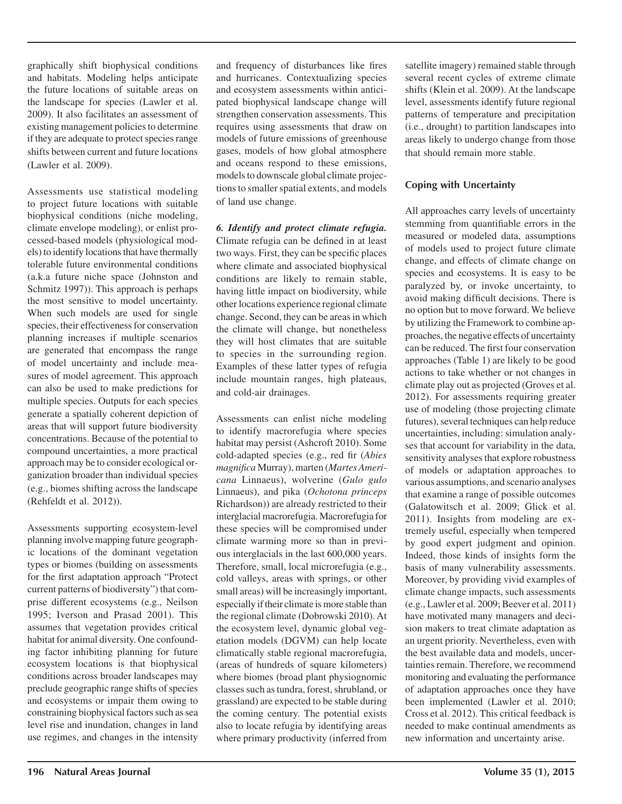graphically shift biophysical conditions and habitats. Modeling helps anticipate the future locations of suitable areas on the landscape for species (Lawler et al. 2009). It also facilitates an assessment of existing management policies to determine if they are adequate to protect species range shifts between current and future locations (Lawler et al. 2009).

Assessments use statistical modeling to project future locations with suitable biophysical conditions (niche modeling, climate envelope modeling), or enlist processed-based models (physiological models) to identify locations that have thermally tolerable future environmental conditions (a.k.a future niche space (Johnston and Schmitz 1997)). This approach is perhaps the most sensitive to model uncertainty. When such models are used for single species, their effectiveness for conservation planning increases if multiple scenarios are generated that encompass the range of model uncertainty and include measures of model agreement. This approach can also be used to make predictions for multiple species. Outputs for each species generate a spatially coherent depiction of areas that will support future biodiversity concentrations. Because of the potential to compound uncertainties, a more practical approach may be to consider ecological organization broader than individual species (e.g., biomes shifting across the landscape (Rehfeldt et al. 2012)).

Assessments supporting ecosystem-level planning involve mapping future geographic locations of the dominant vegetation types or biomes (building on assessments for the first adaptation approach "Protect current patterns of biodiversity") that comprise different ecosystems (e.g., Neilson 1995; Iverson and Prasad 2001). This assumes that vegetation provides critical habitat for animal diversity. One confounding factor inhibiting planning for future ecosystem locations is that biophysical conditions across broader landscapes may preclude geographic range shifts of species and ecosystems or impair them owing to constraining biophysical factors such as sea level rise and inundation, changes in land use regimes, and changes in the intensity

and frequency of disturbances like fires and hurricanes. Contextualizing species and ecosystem assessments within anticipated biophysical landscape change will strengthen conservation assessments. This requires using assessments that draw on models of future emissions of greenhouse gases, models of how global atmosphere and oceans respond to these emissions, models to downscale global climate projections to smaller spatial extents, and models of land use change.

*6. Identify and protect climate refugia.* Climate refugia can be defined in at least two ways. First, they can be specific places where climate and associated biophysical conditions are likely to remain stable, having little impact on biodiversity, while other locations experience regional climate change. Second, they can be areas in which the climate will change, but nonetheless they will host climates that are suitable to species in the surrounding region. Examples of these latter types of refugia include mountain ranges, high plateaus, and cold-air drainages.

Assessments can enlist niche modeling to identify macrorefugia where species habitat may persist (Ashcroft 2010). Some cold-adapted species (e.g., red fir (*Abies magnifica* Murray), marten (*Martes Americana* Linnaeus), wolverine (*Gulo gulo*  Linnaeus), and pika (*Ochotona princeps*  Richardson)) are already restricted to their interglacial macrorefugia. Macrorefugia for these species will be compromised under climate warming more so than in previous interglacials in the last 600,000 years. Therefore, small, local microrefugia (e.g., cold valleys, areas with springs, or other small areas) will be increasingly important, especially if their climate is more stable than the regional climate (Dobrowski 2010). At the ecosystem level, dynamic global vegetation models (DGVM) can help locate climatically stable regional macrorefugia, (areas of hundreds of square kilometers) where biomes (broad plant physiognomic classes such as tundra, forest, shrubland, or grassland) are expected to be stable during the coming century. The potential exists also to locate refugia by identifying areas where primary productivity (inferred from

satellite imagery) remained stable through several recent cycles of extreme climate shifts (Klein et al. 2009). At the landscape level, assessments identify future regional patterns of temperature and precipitation (i.e., drought) to partition landscapes into areas likely to undergo change from those that should remain more stable.

## **Coping with Uncertainty**

All approaches carry levels of uncertainty stemming from quantifiable errors in the measured or modeled data, assumptions of models used to project future climate change, and effects of climate change on species and ecosystems. It is easy to be paralyzed by, or invoke uncertainty, to avoid making difficult decisions. There is no option but to move forward. We believe by utilizing the Framework to combine approaches, the negative effects of uncertainty can be reduced. The first four conservation approaches (Table 1) are likely to be good actions to take whether or not changes in climate play out as projected (Groves et al. 2012). For assessments requiring greater use of modeling (those projecting climate futures), several techniques can help reduce uncertainties, including: simulation analyses that account for variability in the data, sensitivity analyses that explore robustness of models or adaptation approaches to various assumptions, and scenario analyses that examine a range of possible outcomes (Galatowitsch et al. 2009; Glick et al. 2011). Insights from modeling are extremely useful, especially when tempered by good expert judgment and opinion. Indeed, those kinds of insights form the basis of many vulnerability assessments. Moreover, by providing vivid examples of climate change impacts, such assessments (e.g., Lawler et al. 2009; Beever et al. 2011) have motivated many managers and decision makers to treat climate adaptation as an urgent priority. Nevertheless, even with the best available data and models, uncertainties remain. Therefore, we recommend monitoring and evaluating the performance of adaptation approaches once they have been implemented (Lawler et al. 2010; Cross et al. 2012). This critical feedback is needed to make continual amendments as new information and uncertainty arise.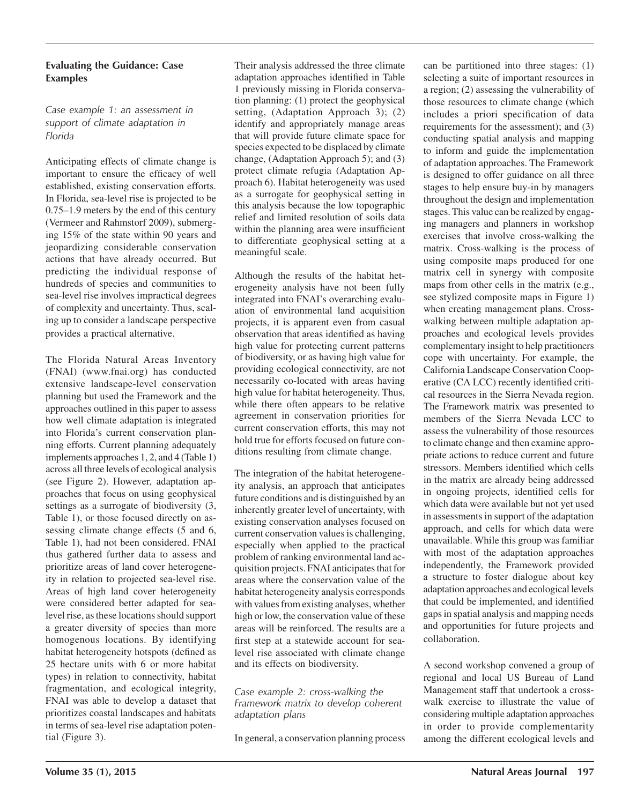#### **Evaluating the Guidance: Case Examples**

#### *Case example 1: an assessment in support of climate adaptation in Florida*

Anticipating effects of climate change is important to ensure the efficacy of well established, existing conservation efforts. In Florida, sea-level rise is projected to be 0.75–1.9 meters by the end of this century (Vermeer and Rahmstorf 2009), submerging 15% of the state within 90 years and jeopardizing considerable conservation actions that have already occurred. But predicting the individual response of hundreds of species and communities to sea-level rise involves impractical degrees of complexity and uncertainty. Thus, scaling up to consider a landscape perspective provides a practical alternative.

The Florida Natural Areas Inventory (FNAI) (www.fnai.org) has conducted extensive landscape-level conservation planning but used the Framework and the approaches outlined in this paper to assess how well climate adaptation is integrated into Florida's current conservation planning efforts. Current planning adequately implements approaches 1, 2, and 4 (Table 1) across all three levels of ecological analysis (see Figure 2). However, adaptation approaches that focus on using geophysical settings as a surrogate of biodiversity (3, Table 1), or those focused directly on assessing climate change effects (5 and 6, Table 1), had not been considered. FNAI thus gathered further data to assess and prioritize areas of land cover heterogeneity in relation to projected sea-level rise. Areas of high land cover heterogeneity were considered better adapted for sealevel rise, as these locations should support a greater diversity of species than more homogenous locations. By identifying habitat heterogeneity hotspots (defined as 25 hectare units with 6 or more habitat types) in relation to connectivity, habitat fragmentation, and ecological integrity, FNAI was able to develop a dataset that prioritizes coastal landscapes and habitats in terms of sea-level rise adaptation potential (Figure 3).

Their analysis addressed the three climate adaptation approaches identified in Table 1 previously missing in Florida conservation planning: (1) protect the geophysical setting, (Adaptation Approach 3); (2) identify and appropriately manage areas that will provide future climate space for species expected to be displaced by climate change, (Adaptation Approach 5); and (3) protect climate refugia (Adaptation Approach 6). Habitat heterogeneity was used as a surrogate for geophysical setting in this analysis because the low topographic relief and limited resolution of soils data within the planning area were insufficient to differentiate geophysical setting at a meaningful scale.

Although the results of the habitat heterogeneity analysis have not been fully integrated into FNAI's overarching evaluation of environmental land acquisition projects, it is apparent even from casual observation that areas identified as having high value for protecting current patterns of biodiversity, or as having high value for providing ecological connectivity, are not necessarily co-located with areas having high value for habitat heterogeneity. Thus, while there often appears to be relative agreement in conservation priorities for current conservation efforts, this may not hold true for efforts focused on future conditions resulting from climate change.

The integration of the habitat heterogeneity analysis, an approach that anticipates future conditions and is distinguished by an inherently greater level of uncertainty, with existing conservation analyses focused on current conservation values is challenging, especially when applied to the practical problem of ranking environmental land acquisition projects. FNAI anticipates that for areas where the conservation value of the habitat heterogeneity analysis corresponds with values from existing analyses, whether high or low, the conservation value of these areas will be reinforced. The results are a first step at a statewide account for sealevel rise associated with climate change and its effects on biodiversity.

*Case example 2: cross-walking the Framework matrix to develop coherent adaptation plans*

In general, a conservation planning process

can be partitioned into three stages: (1) selecting a suite of important resources in a region; (2) assessing the vulnerability of those resources to climate change (which includes a priori specification of data requirements for the assessment); and (3) conducting spatial analysis and mapping to inform and guide the implementation of adaptation approaches. The Framework is designed to offer guidance on all three stages to help ensure buy-in by managers throughout the design and implementation stages. This value can be realized by engaging managers and planners in workshop exercises that involve cross-walking the matrix. Cross-walking is the process of using composite maps produced for one matrix cell in synergy with composite maps from other cells in the matrix (e.g., see stylized composite maps in Figure 1) when creating management plans. Crosswalking between multiple adaptation approaches and ecological levels provides complementary insight to help practitioners cope with uncertainty. For example, the California Landscape Conservation Cooperative (CA LCC) recently identified critical resources in the Sierra Nevada region. The Framework matrix was presented to members of the Sierra Nevada LCC to assess the vulnerability of those resources to climate change and then examine appropriate actions to reduce current and future stressors. Members identified which cells in the matrix are already being addressed in ongoing projects, identified cells for which data were available but not yet used in assessments in support of the adaptation approach, and cells for which data were unavailable. While this group was familiar with most of the adaptation approaches independently, the Framework provided a structure to foster dialogue about key adaptation approaches and ecological levels that could be implemented, and identified gaps in spatial analysis and mapping needs and opportunities for future projects and collaboration.

A second workshop convened a group of regional and local US Bureau of Land Management staff that undertook a crosswalk exercise to illustrate the value of considering multiple adaptation approaches in order to provide complementarity among the different ecological levels and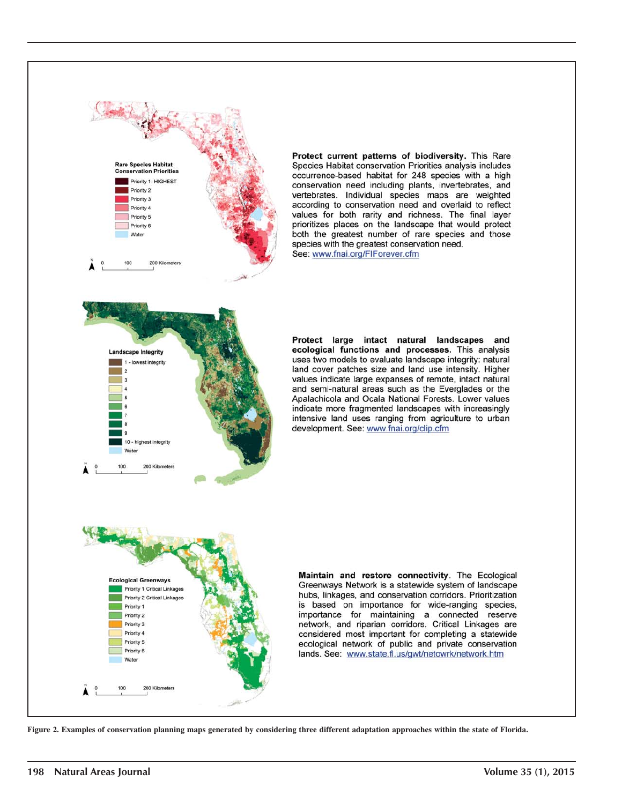

Protect current patterns of biodiversity. This Rare Species Habitat conservation Priorities analysis includes occurrence-based habitat for 248 species with a high conservation need including plants, invertebrates, and vertebrates. Individual species maps are weighted according to conservation need and overlaid to reflect values for both rarity and richness. The final layer prioritizes places on the landscape that would protect both the greatest number of rare species and those species with the greatest conservation need. See: www.fnai.org/FIForever.cfm

Protect large intact natural landscapes and ecological functions and processes. This analysis uses two models to evaluate landscape integrity: natural land cover patches size and land use intensity. Higher values indicate large expanses of remote, intact natural and semi-natural areas such as the Everglades or the Apalachicola and Ocala National Forests. Lower values indicate more fragmented landscapes with increasingly intensive land uses ranging from agriculture to urban development. See: www.fnai.org/clip.cfm

Maintain and restore connectivity. The Ecological Greenways Network is a statewide system of landscape hubs, linkages, and conservation corridors. Prioritization is based on importance for wide-ranging species, importance for maintaining a connected reserve network, and riparian corridors. Critical Linkages are considered most important for completing a statewide ecological network of public and private conservation lands. See: www.state.fl.us/gwt/netowrk/network.htm

**Figure 2. Examples of conservation planning maps generated by considering three different adaptation approaches within the state of Florida.**

Priority 1

Priority 2 Priority 3

> Priority 4 Priority 5

> Priority 6

200 Kilor

Wate

100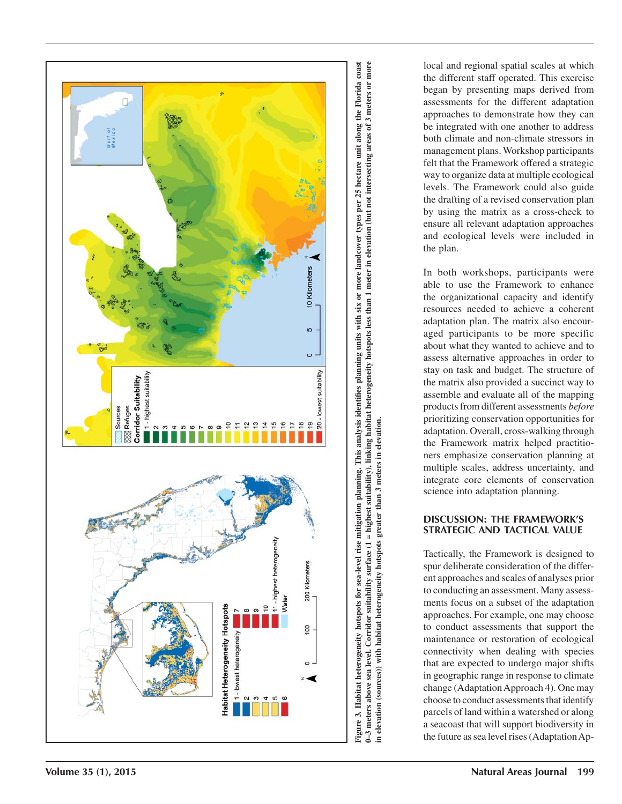

Figure 3. Habitat heterogeneity hotspots for sea-level rise mitigation planning. This analysis identifies planning units with six or more landcover types per 25 hectare unit along the Florida coast<br>0–3 meters above sea lev 0-3 meters above sea level. Corridor suitability surface (1 = highest suitability), linking habitat heterogeneity hotspots less than 1 meter in elevation (but not intersecting areas of 3 meters or more Figure 3. Habitat heterogeneity hotspots for sea-level rise mitigation planning. This analysis identifies planning units with six or more landcover types per 25 hectare unit along the Florida coast in elevation (sources)) with habitat heterogeneity hotspots greater than 3 meters in elevation. local and regional spatial scales at which the different staff operated. This exercise began by presenting maps derived from assessments for the different adaptation approaches to demonstrate how they can be integrated with one another to address both climate and non-climate stressors in management plans. Workshop participants felt that the Framework offered a strategic way to organize data at multiple ecological levels. The Framework could also guide the drafting of a revised conservation plan by using the matrix as a cross-check to ensure all relevant adaptation approaches and ecological levels were included in the plan.

In both workshops, participants were able to use the Framework to enhance the organizational capacity and identify resources needed to achieve a coherent adaptation plan. The matrix also encouraged participants to be more specific about what they wanted to achieve and to assess alternative approaches in order to stay on task and budget. The structure of the matrix also provided a succinct way to assemble and evaluate all of the mapping products from different assessments *before* prioritizing conservation opportunities for adaptation. Overall, cross-walking through the Framework matrix helped practitioners emphasize conservation planning at multiple scales, address uncertainty, and integrate core elements of conservation science into adaptation planning.

#### **DISCUSSION: THE FRAMEWORK'S STRATEGIC AND TACTICAL VALUE**

Tactically, the Framework is designed to spur deliberate consideration of the different approaches and scales of analyses prior to conducting an assessment. Many assessments focus on a subset of the adaptation approaches. For example, one may choose to conduct assessments that support the maintenance or restoration of ecological connectivity when dealing with species that are expected to undergo major shifts in geographic range in response to climate change (Adaptation Approach 4). One may choose to conduct assessments that identify parcels of land within a watershed or along a seacoast that will support biodiversity in the future as sea level rises (Adaptation Ap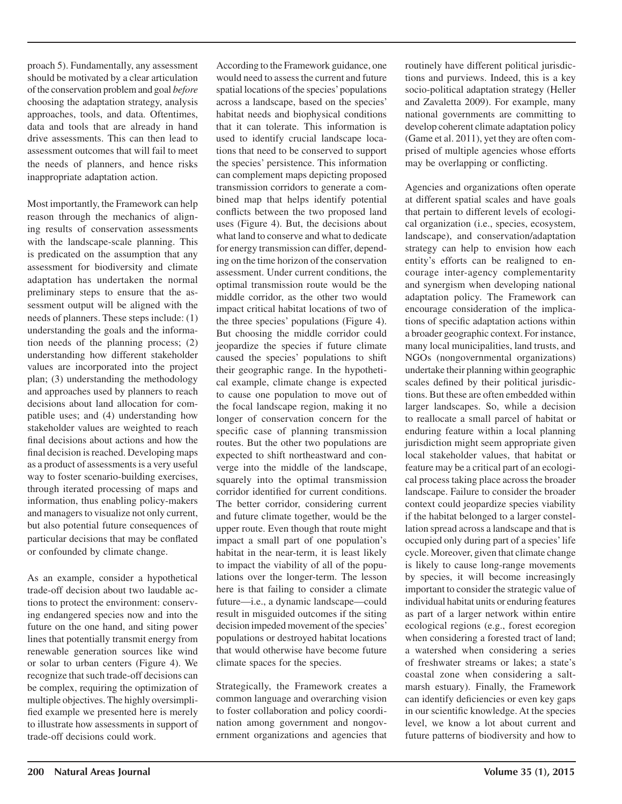proach 5). Fundamentally, any assessment should be motivated by a clear articulation of the conservation problem and goal *before* choosing the adaptation strategy, analysis approaches, tools, and data. Oftentimes, data and tools that are already in hand drive assessments. This can then lead to assessment outcomes that will fail to meet the needs of planners, and hence risks inappropriate adaptation action.

Most importantly, the Framework can help reason through the mechanics of aligning results of conservation assessments with the landscape-scale planning. This is predicated on the assumption that any assessment for biodiversity and climate adaptation has undertaken the normal preliminary steps to ensure that the assessment output will be aligned with the needs of planners. These steps include: (1) understanding the goals and the information needs of the planning process; (2) understanding how different stakeholder values are incorporated into the project plan; (3) understanding the methodology and approaches used by planners to reach decisions about land allocation for compatible uses; and (4) understanding how stakeholder values are weighted to reach final decisions about actions and how the final decision is reached. Developing maps as a product of assessments is a very useful way to foster scenario-building exercises, through iterated processing of maps and information, thus enabling policy-makers and managers to visualize not only current, but also potential future consequences of particular decisions that may be conflated or confounded by climate change.

As an example, consider a hypothetical trade-off decision about two laudable actions to protect the environment: conserving endangered species now and into the future on the one hand, and siting power lines that potentially transmit energy from renewable generation sources like wind or solar to urban centers (Figure 4). We recognize that such trade-off decisions can be complex, requiring the optimization of multiple objectives. The highly oversimplified example we presented here is merely to illustrate how assessments in support of trade-off decisions could work.

According to the Framework guidance, one would need to assess the current and future spatial locations of the species' populations across a landscape, based on the species' habitat needs and biophysical conditions that it can tolerate. This information is used to identify crucial landscape locations that need to be conserved to support the species' persistence. This information can complement maps depicting proposed transmission corridors to generate a combined map that helps identify potential conflicts between the two proposed land uses (Figure 4). But, the decisions about what land to conserve and what to dedicate for energy transmission can differ, depending on the time horizon of the conservation assessment. Under current conditions, the optimal transmission route would be the middle corridor, as the other two would impact critical habitat locations of two of the three species' populations (Figure 4). But choosing the middle corridor could jeopardize the species if future climate caused the species' populations to shift their geographic range. In the hypothetical example, climate change is expected to cause one population to move out of the focal landscape region, making it no longer of conservation concern for the specific case of planning transmission routes. But the other two populations are expected to shift northeastward and converge into the middle of the landscape, squarely into the optimal transmission corridor identified for current conditions. The better corridor, considering current and future climate together, would be the upper route. Even though that route might impact a small part of one population's habitat in the near-term, it is least likely to impact the viability of all of the populations over the longer-term. The lesson here is that failing to consider a climate future—i.e., a dynamic landscape—could result in misguided outcomes if the siting decision impeded movement of the species' populations or destroyed habitat locations that would otherwise have become future climate spaces for the species.

Strategically, the Framework creates a common language and overarching vision to foster collaboration and policy coordination among government and nongovernment organizations and agencies that

routinely have different political jurisdictions and purviews. Indeed, this is a key socio-political adaptation strategy (Heller and Zavaletta 2009). For example, many national governments are committing to develop coherent climate adaptation policy (Game et al. 2011), yet they are often comprised of multiple agencies whose efforts may be overlapping or conflicting.

Agencies and organizations often operate at different spatial scales and have goals that pertain to different levels of ecological organization (i.e., species, ecosystem, landscape), and conservation/adaptation strategy can help to envision how each entity's efforts can be realigned to encourage inter-agency complementarity and synergism when developing national adaptation policy. The Framework can encourage consideration of the implications of specific adaptation actions within a broader geographic context. For instance, many local municipalities, land trusts, and NGOs (nongovernmental organizations) undertake their planning within geographic scales defined by their political jurisdictions. But these are often embedded within larger landscapes. So, while a decision to reallocate a small parcel of habitat or enduring feature within a local planning jurisdiction might seem appropriate given local stakeholder values, that habitat or feature may be a critical part of an ecological process taking place across the broader landscape. Failure to consider the broader context could jeopardize species viability if the habitat belonged to a larger constellation spread across a landscape and that is occupied only during part of a species' life cycle. Moreover, given that climate change is likely to cause long-range movements by species, it will become increasingly important to consider the strategic value of individual habitat units or enduring features as part of a larger network within entire ecological regions (e.g., forest ecoregion when considering a forested tract of land; a watershed when considering a series of freshwater streams or lakes; a state's coastal zone when considering a saltmarsh estuary). Finally, the Framework can identify deficiencies or even key gaps in our scientific knowledge. At the species level, we know a lot about current and future patterns of biodiversity and how to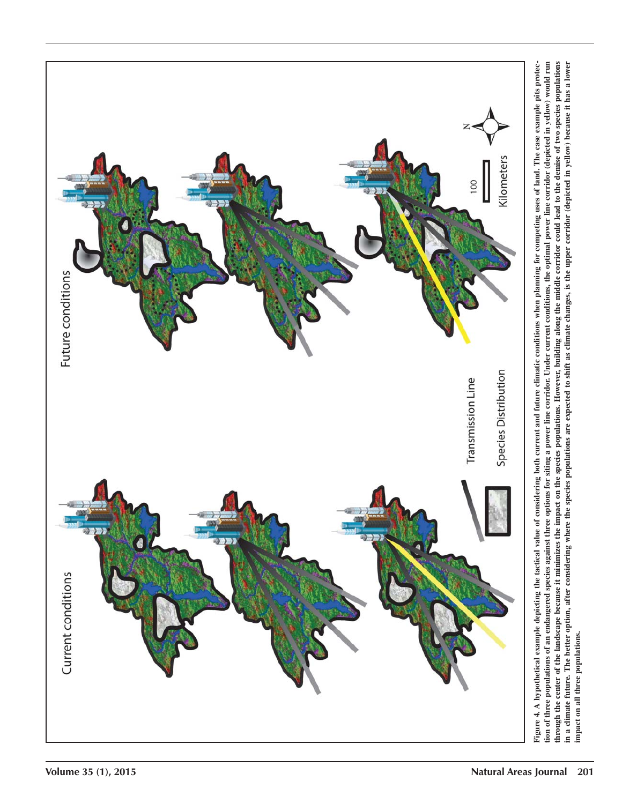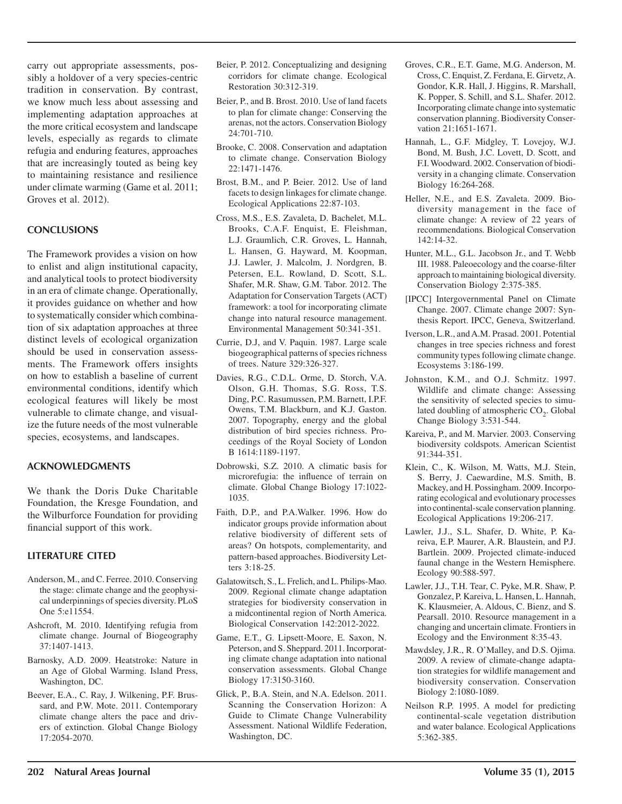carry out appropriate assessments, possibly a holdover of a very species-centric tradition in conservation. By contrast, we know much less about assessing and implementing adaptation approaches at the more critical ecosystem and landscape levels, especially as regards to climate refugia and enduring features, approaches that are increasingly touted as being key to maintaining resistance and resilience under climate warming (Game et al. 2011; Groves et al. 2012).

#### **CONCLUSIONS**

The Framework provides a vision on how to enlist and align institutional capacity, and analytical tools to protect biodiversity in an era of climate change. Operationally, it provides guidance on whether and how to systematically consider which combination of six adaptation approaches at three distinct levels of ecological organization should be used in conservation assessments. The Framework offers insights on how to establish a baseline of current environmental conditions, identify which ecological features will likely be most vulnerable to climate change, and visualize the future needs of the most vulnerable species, ecosystems, and landscapes.

#### **ACKNOWLEDGMENTS**

We thank the Doris Duke Charitable Foundation, the Kresge Foundation, and the Wilburforce Foundation for providing financial support of this work.

#### **LITERATURE CITED**

- Anderson, M., and C. Ferree. 2010. Conserving the stage: climate change and the geophysical underpinnings of species diversity. PLoS One 5:e11554.
- Ashcroft, M. 2010. Identifying refugia from climate change. Journal of Biogeography 37:1407-1413.
- Barnosky, A.D. 2009. Heatstroke: Nature in an Age of Global Warming. Island Press, Washington, DC.
- Beever, E.A., C. Ray, J. Wilkening, P.F. Brussard, and P.W. Mote. 2011. Contemporary climate change alters the pace and drivers of extinction. Global Change Biology 17:2054-2070.
- Beier, P. 2012. Conceptualizing and designing corridors for climate change. Ecological Restoration 30:312-319.
- Beier, P., and B. Brost. 2010. Use of land facets to plan for climate change: Conserving the arenas, not the actors. Conservation Biology 24:701-710.
- Brooke, C. 2008. Conservation and adaptation to climate change. Conservation Biology 22:1471-1476.
- Brost, B.M., and P. Beier. 2012. Use of land facets to design linkages for climate change. Ecological Applications 22:87-103.
- Cross, M.S., E.S. Zavaleta, D. Bachelet, M.L. Brooks, C.A.F. Enquist, E. Fleishman, L.J. Graumlich, C.R. Groves, L. Hannah, L. Hansen, G. Hayward, M. Koopman, J.J. Lawler, J. Malcolm, J. Nordgren, B. Petersen, E.L. Rowland, D. Scott, S.L. Shafer, M.R. Shaw, G.M. Tabor. 2012. The Adaptation for Conservation Targets (ACT) framework: a tool for incorporating climate change into natural resource management. Environmental Management 50:341-351.
- Currie, D.J, and V. Paquin. 1987. Large scale biogeographical patterns of species richness of trees. Nature 329:326-327.
- Davies, R.G., C.D.L. Orme, D. Storch, V.A. Olson, G.H. Thomas, S.G. Ross, T.S. Ding, P.C. Rasumussen, P.M. Barnett, I.P.F. Owens, T.M. Blackburn, and K.J. Gaston. 2007. Topography, energy and the global distribution of bird species richness. Proceedings of the Royal Society of London B 1614:1189-1197.
- Dobrowski, S.Z. 2010. A climatic basis for microrefugia: the influence of terrain on climate. Global Change Biology 17:1022- 1035.
- Faith, D.P., and P.A.Walker. 1996. How do indicator groups provide information about relative biodiversity of different sets of areas? On hotspots, complementarity, and pattern-based approaches. Biodiversity Letters 3:18-25.
- Galatowitsch, S., L. Frelich, and L. Philips-Mao. 2009. Regional climate change adaptation strategies for biodiversity conservation in a midcontinental region of North America. Biological Conservation 142:2012-2022.
- Game, E.T., G. Lipsett-Moore, E. Saxon, N. Peterson, and S. Sheppard. 2011. Incorporating climate change adaptation into national conservation assessments. Global Change Biology 17:3150-3160.
- Glick, P., B.A. Stein, and N.A. Edelson. 2011. Scanning the Conservation Horizon: A Guide to Climate Change Vulnerability Assessment. National Wildlife Federation, Washington, DC.
- Groves, C.R., E.T. Game, M.G. Anderson, M. Cross, C. Enquist, Z. Ferdana, E. Girvetz, A. Gondor, K.R. Hall, J. Higgins, R. Marshall, K. Popper, S. Schill, and S.L. Shafer. 2012. Incorporating climate change into systematic conservation planning. Biodiversity Conservation 21:1651-1671.
- Hannah, L., G.F. Midgley, T. Lovejoy, W.J. Bond, M. Bush, J.C. Lovett, D. Scott, and F.I. Woodward. 2002. Conservation of biodiversity in a changing climate. Conservation Biology 16:264-268.
- Heller, N.E., and E.S. Zavaleta. 2009. Biodiversity management in the face of climate change: A review of 22 years of recommendations*.* Biological Conservation 142:14-32.
- Hunter, M.L., G.L. Jacobson Jr., and T. Webb III. 1988. Paleoecology and the coarse-filter approach to maintaining biological diversity. Conservation Biology 2:375-385.
- [IPCC] Intergovernmental Panel on Climate Change. 2007. Climate change 2007: Synthesis Report. IPCC, Geneva, Switzerland.
- Iverson, L.R., and A.M. Prasad. 2001. Potential changes in tree species richness and forest community types following climate change. Ecosystems 3:186-199.
- Johnston, K.M., and O.J. Schmitz. 1997. Wildlife and climate change: Assessing the sensitivity of selected species to simulated doubling of atmospheric  $CO<sub>2</sub>$ . Global Change Biology 3:531-544.
- Kareiva, P., and M. Marvier. 2003. Conserving biodiversity coldspots. American Scientist 91:344-351.
- Klein, C., K. Wilson, M. Watts, M.J. Stein, S. Berry, J. Caewardine, M.S. Smith, B. Mackey, and H. Possingham. 2009. Incorporating ecological and evolutionary processes into continental-scale conservation planning. Ecological Applications 19:206-217.
- Lawler, J.J., S.L. Shafer, D. White, P. Kareiva, E.P. Maurer, A.R. Blaustein, and P.J. Bartlein. 2009. Projected climate-induced faunal change in the Western Hemisphere. Ecology 90:588-597.
- Lawler, J.J., T.H. Tear, C. Pyke, M.R. Shaw, P. Gonzalez, P. Kareiva, L. Hansen, L. Hannah, K. Klausmeier, A. Aldous, C. Bienz, and S. Pearsall. 2010. Resource management in a changing and uncertain climate. Frontiers in Ecology and the Environment 8:35-43.
- Mawdsley, J.R., R. O'Malley, and D.S. Ojima. 2009. A review of climate-change adaptation strategies for wildlife management and biodiversity conservation. Conservation Biology 2:1080-1089.
- Neilson R.P. 1995. A model for predicting continental-scale vegetation distribution and water balance. Ecological Applications 5:362-385.